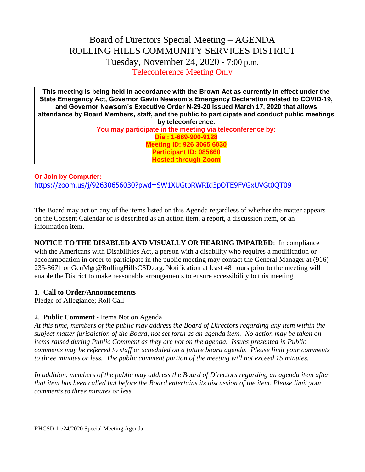# Board of Directors Special Meeting – AGENDA ROLLING HILLS COMMUNITY SERVICES DISTRICT Tuesday, November 24, 2020 - 7:00 p.m. Teleconference Meeting Only

**This meeting is being held in accordance with the Brown Act as currently in effect under the State Emergency Act, Governor Gavin Newsom's Emergency Declaration related to COVID-19, and Governor Newsom's Executive Order N-29-20 issued March 17, 2020 that allows attendance by Board Members, staff, and the public to participate and conduct public meetings by teleconference. You may participate in the meeting via teleconference by: Dial: 1-669-900-9128 Meeting ID: 926 3065 6030 Participant ID: 085660 Hosted through Zoom**

**Or Join by Computer:** <https://zoom.us/j/92630656030?pwd=SW1XUGtpRWRId3pOTE9FVGxUVGt0QT09>

The Board may act on any of the items listed on this Agenda regardless of whether the matter appears on the Consent Calendar or is described as an action item, a report, a discussion item, or an information item.

**NOTICE TO THE DISABLED AND VISUALLY OR HEARING IMPAIRED**: In compliance with the Americans with Disabilities Act, a person with a disability who requires a modification or accommodation in order to participate in the public meeting may contact the General Manager at (916) 235-8671 or GenMgr@RollingHillsCSD.org. Notification at least 48 hours prior to the meeting will enable the District to make reasonable arrangements to ensure accessibility to this meeting.

# **1**. **Call to Order/Announcements**

Pledge of Allegiance; Roll Call

# **2**. **Public Comment** - Items Not on Agenda

*At this time, members of the public may address the Board of Directors regarding any item within the subject matter jurisdiction of the Board, not set forth as an agenda item. No action may be taken on items raised during Public Comment as they are not on the agenda. Issues presented in Public comments may be referred to staff or scheduled on a future board agenda. Please limit your comments to three minutes or less. The public comment portion of the meeting will not exceed 15 minutes.*

*In addition, members of the public may address the Board of Directors regarding an agenda item after that item has been called but before the Board entertains its discussion of the item. Please limit your comments to three minutes or less.*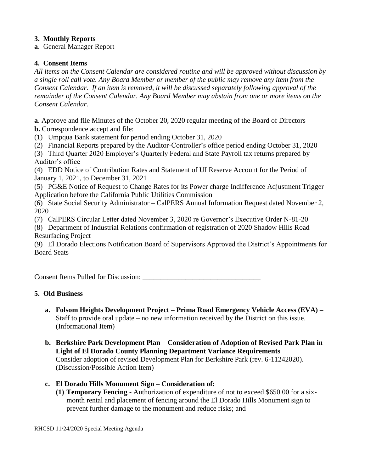# **3. Monthly Reports**

**a**. General Manager Report

# **4. Consent Items**

*All items on the Consent Calendar are considered routine and will be approved without discussion by a single roll call vote. Any Board Member or member of the public may remove any item from the Consent Calendar. If an item is removed, it will be discussed separately following approval of the remainder of the Consent Calendar. Any Board Member may abstain from one or more items on the Consent Calendar.*

**a**. Approve and file Minutes of the October 20, 2020 regular meeting of the Board of Directors **b.** Correspondence accept and file:

(1) Umpqua Bank statement for period ending October 31, 2020

(2) Financial Reports prepared by the Auditor-Controller's office period ending October 31, 2020

(3) Third Quarter 2020 Employer's Quarterly Federal and State Payroll tax returns prepared by Auditor's office

(4) EDD Notice of Contribution Rates and Statement of UI Reserve Account for the Period of January 1, 2021, to December 31, 2021

(5) PG&E Notice of Request to Change Rates for its Power charge Indifference Adjustment Trigger Application before the California Public Utilities Commission

(6) State Social Security Administrator – CalPERS Annual Information Request dated November 2, 2020

(7) CalPERS Circular Letter dated November 3, 2020 re Governor's Executive Order N-81-20

(8) Department of Industrial Relations confirmation of registration of 2020 Shadow Hills Road Resurfacing Project

(9) El Dorado Elections Notification Board of Supervisors Approved the District's Appointments for Board Seats

Consent Items Pulled for Discussion: \_\_\_\_\_\_\_\_\_\_\_\_\_\_\_\_\_\_\_\_\_\_\_\_\_\_\_\_\_\_\_\_\_

# **5. Old Business**

- **a. Folsom Heights Development Project – Prima Road Emergency Vehicle Access (EVA) –** Staff to provide oral update – no new information received by the District on this issue. (Informational Item)
- **b. Berkshire Park Development Plan Consideration of Adoption of Revised Park Plan in Light of El Dorado County Planning Department Variance Requirements** Consider adoption of revised Development Plan for Berkshire Park (rev. 6-11242020). (Discussion/Possible Action Item)
- **c. El Dorado Hills Monument Sign – Consideration of:**
	- **(1) Temporary Fencing** Authorization of expenditure of not to exceed \$650.00 for a sixmonth rental and placement of fencing around the El Dorado Hills Monument sign to prevent further damage to the monument and reduce risks; and